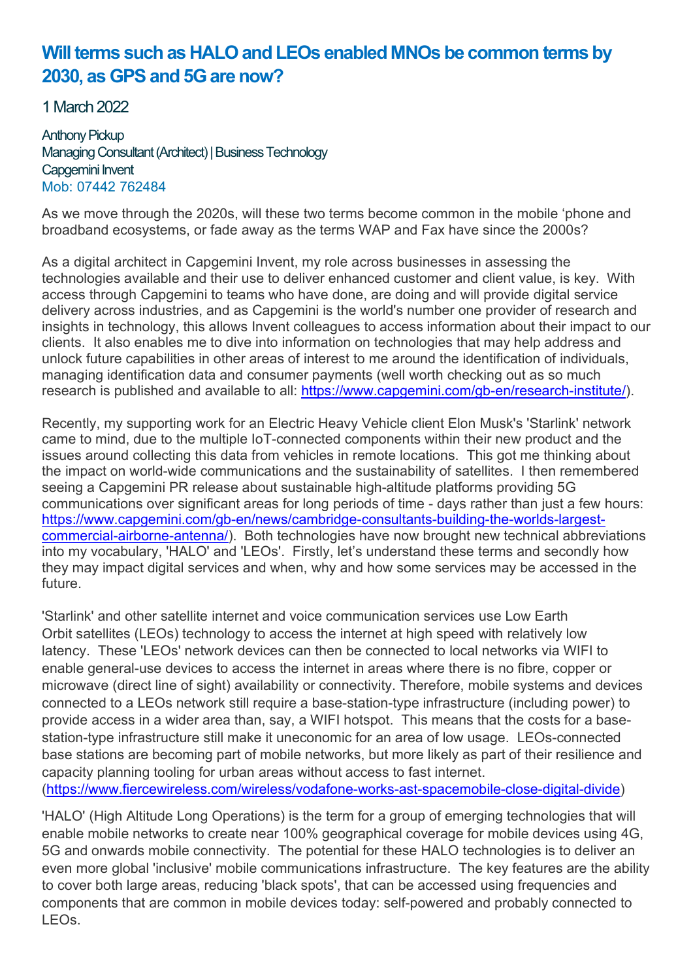## Will terms such as HALO and LEOs enabled MNOs be common terms by 2030, as GPS and 5G are now?

1 March 2022

Anthony Pickup Managing Consultant (Architect) | Business Technology Capgemini Invent Mob: 07442 762484

As we move through the 2020s, will these two terms become common in the mobile 'phone and broadband ecosystems, or fade away as the terms WAP and Fax have since the 2000s?

As a digital architect in Capgemini Invent, my role across businesses in assessing the technologies available and their use to deliver enhanced customer and client value, is key. With access through Capgemini to teams who have done, are doing and will provide digital service delivery across industries, and as Capgemini is the world's number one provider of research and insights in technology, this allows Invent colleagues to access information about their impact to our clients. It also enables me to dive into information on technologies that may help address and unlock future capabilities in other areas of interest to me around the identification of individuals, managing identification data and consumer payments (well worth checking out as so much research is published and available to all: https://www.capgemini.com/gb-en/research-institute/).

Recently, my supporting work for an Electric Heavy Vehicle client Elon Musk's 'Starlink' network came to mind, due to the multiple IoT-connected components within their new product and the issues around collecting this data from vehicles in remote locations. This got me thinking about the impact on world-wide communications and the sustainability of satellites. I then remembered seeing a Capgemini PR release about sustainable high-altitude platforms providing 5G communications over significant areas for long periods of time - days rather than just a few hours: https://www.capgemini.com/gb-en/news/cambridge-consultants-building-the-worlds-largestcommercial-airborne-antenna/). Both technologies have now brought new technical abbreviations into my vocabulary, 'HALO' and 'LEOs'. Firstly, let's understand these terms and secondly how they may impact digital services and when, why and how some services may be accessed in the future.

'Starlink' and other satellite internet and voice communication services use Low Earth Orbit satellites (LEOs) technology to access the internet at high speed with relatively low latency. These 'LEOs' network devices can then be connected to local networks via WIFI to enable general-use devices to access the internet in areas where there is no fibre, copper or microwave (direct line of sight) availability or connectivity. Therefore, mobile systems and devices connected to a LEOs network still require a base-station-type infrastructure (including power) to provide access in a wider area than, say, a WIFI hotspot. This means that the costs for a basestation-type infrastructure still make it uneconomic for an area of low usage. LEOs-connected base stations are becoming part of mobile networks, but more likely as part of their resilience and capacity planning tooling for urban areas without access to fast internet. (https://www.fiercewireless.com/wireless/vodafone-works-ast-spacemobile-close-digital-divide)

'HALO' (High Altitude Long Operations) is the term for a group of emerging technologies that will enable mobile networks to create near 100% geographical coverage for mobile devices using 4G, 5G and onwards mobile connectivity. The potential for these HALO technologies is to deliver an even more global 'inclusive' mobile communications infrastructure. The key features are the ability to cover both large areas, reducing 'black spots', that can be accessed using frequencies and components that are common in mobile devices today: self-powered and probably connected to LEOs.